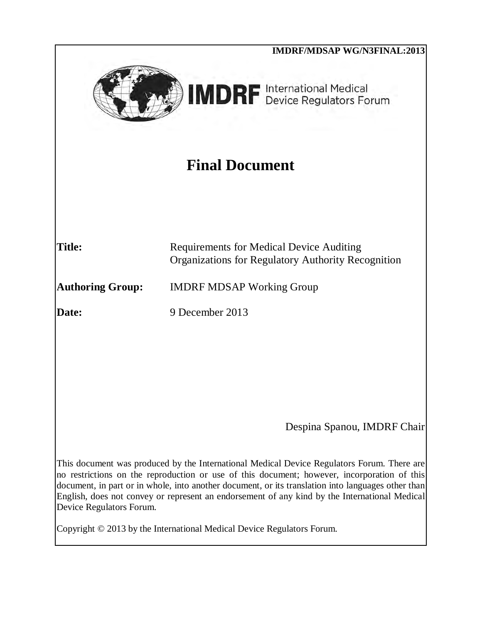|                          | <b>IMDRF/MDSAP WG/N3FINAL:2013</b>                                                                                                                                                                                                                                                                                                                                                               |  |  |  |
|--------------------------|--------------------------------------------------------------------------------------------------------------------------------------------------------------------------------------------------------------------------------------------------------------------------------------------------------------------------------------------------------------------------------------------------|--|--|--|
|                          | <b>IMDRF</b> International Medical                                                                                                                                                                                                                                                                                                                                                               |  |  |  |
| <b>Final Document</b>    |                                                                                                                                                                                                                                                                                                                                                                                                  |  |  |  |
| <b>Title:</b>            | <b>Requirements for Medical Device Auditing</b><br><b>Organizations for Regulatory Authority Recognition</b>                                                                                                                                                                                                                                                                                     |  |  |  |
| <b>Authoring Group:</b>  | <b>IMDRF MDSAP Working Group</b>                                                                                                                                                                                                                                                                                                                                                                 |  |  |  |
| Date:                    | 9 December 2013                                                                                                                                                                                                                                                                                                                                                                                  |  |  |  |
|                          |                                                                                                                                                                                                                                                                                                                                                                                                  |  |  |  |
|                          | Despina Spanou, IMDRF Chair                                                                                                                                                                                                                                                                                                                                                                      |  |  |  |
| Device Regulators Forum. | This document was produced by the International Medical Device Regulators Forum. There are<br>no restrictions on the reproduction or use of this document; however, incorporation of this<br>document, in part or in whole, into another document, or its translation into languages other than<br>English, does not convey or represent an endorsement of any kind by the International Medical |  |  |  |
|                          | Copyright © 2013 by the International Medical Device Regulators Forum.                                                                                                                                                                                                                                                                                                                           |  |  |  |
|                          |                                                                                                                                                                                                                                                                                                                                                                                                  |  |  |  |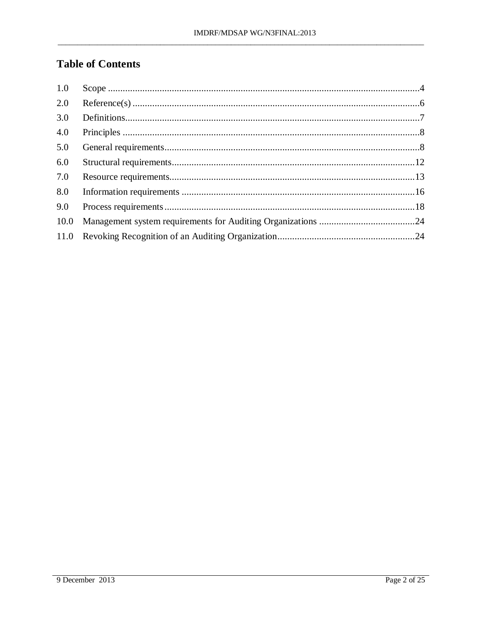# **Table of Contents**

| 1.0  |  |
|------|--|
| 2.0  |  |
| 3.0  |  |
| 4.0  |  |
| 5.0  |  |
| 6.0  |  |
| 7.0  |  |
| 8.0  |  |
| 9.0  |  |
| 10.0 |  |
|      |  |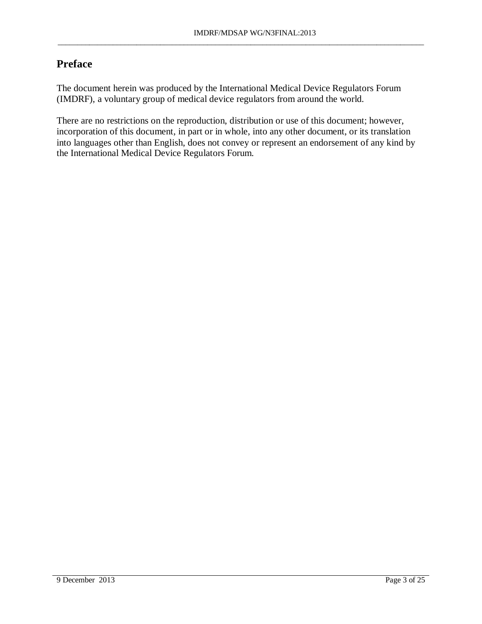## **Preface**

The document herein was produced by the International Medical Device Regulators Forum (IMDRF), a voluntary group of medical device regulators from around the world.

There are no restrictions on the reproduction, distribution or use of this document; however, incorporation of this document, in part or in whole, into any other document, or its translation into languages other than English, does not convey or represent an endorsement of any kind by the International Medical Device Regulators Forum.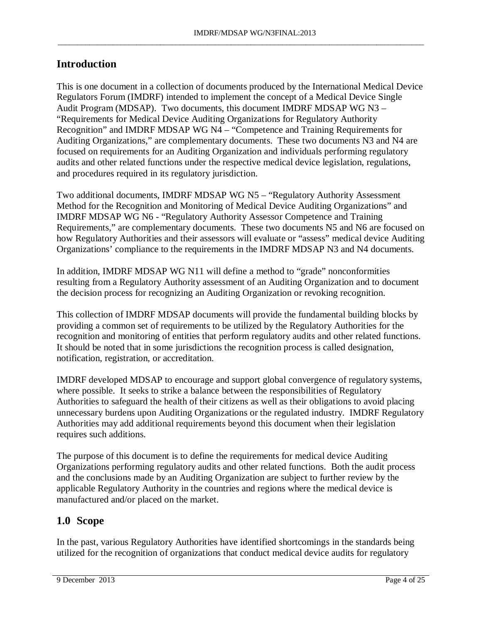## **Introduction**

This is one document in a collection of documents produced by the International Medical Device Regulators Forum (IMDRF) intended to implement the concept of a Medical Device Single Audit Program (MDSAP). Two documents, this document IMDRF MDSAP WG N3 – "Requirements for Medical Device Auditing Organizations for Regulatory Authority Recognition" and IMDRF MDSAP WG N4 – "Competence and Training Requirements for Auditing Organizations," are complementary documents. These two documents N3 and N4 are focused on requirements for an Auditing Organization and individuals performing regulatory audits and other related functions under the respective medical device legislation, regulations, and procedures required in its regulatory jurisdiction.

Two additional documents, IMDRF MDSAP WG N5 – "Regulatory Authority Assessment Method for the Recognition and Monitoring of Medical Device Auditing Organizations" and IMDRF MDSAP WG N6 - "Regulatory Authority Assessor Competence and Training Requirements," are complementary documents. These two documents N5 and N6 are focused on how Regulatory Authorities and their assessors will evaluate or "assess" medical device Auditing Organizations' compliance to the requirements in the IMDRF MDSAP N3 and N4 documents.

In addition, IMDRF MDSAP WG N11 will define a method to "grade" nonconformities resulting from a Regulatory Authority assessment of an Auditing Organization and to document the decision process for recognizing an Auditing Organization or revoking recognition.

This collection of IMDRF MDSAP documents will provide the fundamental building blocks by providing a common set of requirements to be utilized by the Regulatory Authorities for the recognition and monitoring of entities that perform regulatory audits and other related functions. It should be noted that in some jurisdictions the recognition process is called designation, notification, registration, or accreditation.

IMDRF developed MDSAP to encourage and support global convergence of regulatory systems, where possible. It seeks to strike a balance between the responsibilities of Regulatory Authorities to safeguard the health of their citizens as well as their obligations to avoid placing unnecessary burdens upon Auditing Organizations or the regulated industry. IMDRF Regulatory Authorities may add additional requirements beyond this document when their legislation requires such additions.

The purpose of this document is to define the requirements for medical device Auditing Organizations performing regulatory audits and other related functions. Both the audit process and the conclusions made by an Auditing Organization are subject to further review by the applicable Regulatory Authority in the countries and regions where the medical device is manufactured and/or placed on the market.

## <span id="page-3-0"></span>**1.0 Scope**

In the past, various Regulatory Authorities have identified shortcomings in the standards being utilized for the recognition of organizations that conduct medical device audits for regulatory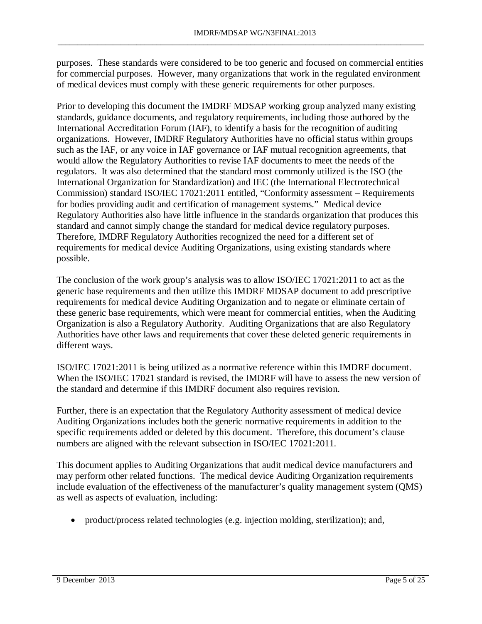purposes. These standards were considered to be too generic and focused on commercial entities for commercial purposes. However, many organizations that work in the regulated environment of medical devices must comply with these generic requirements for other purposes.

\_\_\_\_\_\_\_\_\_\_\_\_\_\_\_\_\_\_\_\_\_\_\_\_\_\_\_\_\_\_\_\_\_\_\_\_\_\_\_\_\_\_\_\_\_\_\_\_\_\_\_\_\_\_\_\_\_\_\_\_\_\_\_\_\_\_\_\_\_\_\_\_\_\_\_\_\_\_\_\_\_\_\_\_\_\_\_\_\_\_\_\_\_

Prior to developing this document the IMDRF MDSAP working group analyzed many existing standards, guidance documents, and regulatory requirements, including those authored by the International Accreditation Forum (IAF), to identify a basis for the recognition of auditing organizations. However, IMDRF Regulatory Authorities have no official status within groups such as the IAF, or any voice in IAF governance or IAF mutual recognition agreements, that would allow the Regulatory Authorities to revise IAF documents to meet the needs of the regulators. It was also determined that the standard most commonly utilized is the ISO (the International Organization for Standardization) and IEC (the International Electrotechnical Commission) standard ISO/IEC 17021:2011 entitled, "Conformity assessment – Requirements for bodies providing audit and certification of management systems." Medical device Regulatory Authorities also have little influence in the standards organization that produces this standard and cannot simply change the standard for medical device regulatory purposes. Therefore, IMDRF Regulatory Authorities recognized the need for a different set of requirements for medical device Auditing Organizations, using existing standards where possible.

The conclusion of the work group's analysis was to allow ISO/IEC 17021:2011 to act as the generic base requirements and then utilize this IMDRF MDSAP document to add prescriptive requirements for medical device Auditing Organization and to negate or eliminate certain of these generic base requirements, which were meant for commercial entities, when the Auditing Organization is also a Regulatory Authority. Auditing Organizations that are also Regulatory Authorities have other laws and requirements that cover these deleted generic requirements in different ways.

ISO/IEC 17021:2011 is being utilized as a normative reference within this IMDRF document. When the ISO/IEC 17021 standard is revised, the IMDRF will have to assess the new version of the standard and determine if this IMDRF document also requires revision.

Further, there is an expectation that the Regulatory Authority assessment of medical device Auditing Organizations includes both the generic normative requirements in addition to the specific requirements added or deleted by this document. Therefore, this document's clause numbers are aligned with the relevant subsection in ISO/IEC 17021:2011.

This document applies to Auditing Organizations that audit medical device manufacturers and may perform other related functions. The medical device Auditing Organization requirements include evaluation of the effectiveness of the manufacturer's quality management system (QMS) as well as aspects of evaluation, including:

• product/process related technologies (e.g. injection molding, sterilization); and,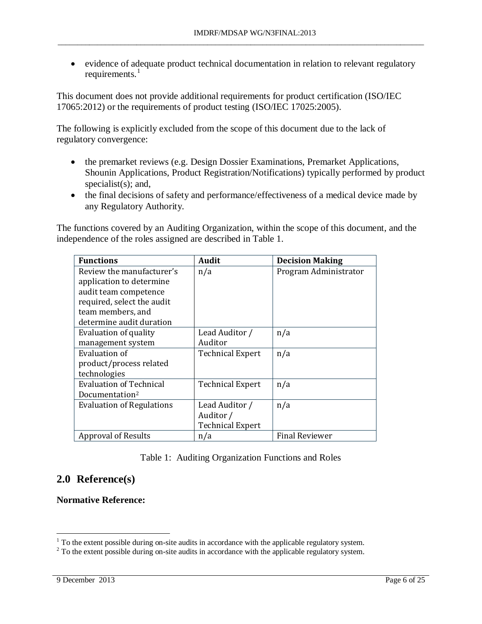• evidence of adequate product technical documentation in relation to relevant regulatory requirements. $<sup>1</sup>$  $<sup>1</sup>$  $<sup>1</sup>$ </sup>

\_\_\_\_\_\_\_\_\_\_\_\_\_\_\_\_\_\_\_\_\_\_\_\_\_\_\_\_\_\_\_\_\_\_\_\_\_\_\_\_\_\_\_\_\_\_\_\_\_\_\_\_\_\_\_\_\_\_\_\_\_\_\_\_\_\_\_\_\_\_\_\_\_\_\_\_\_\_\_\_\_\_\_\_\_\_\_\_\_\_\_\_\_

This document does not provide additional requirements for product certification (ISO/IEC 17065:2012) or the requirements of product testing (ISO/IEC 17025:2005).

The following is explicitly excluded from the scope of this document due to the lack of regulatory convergence:

- the premarket reviews (e.g. Design Dossier Examinations, Premarket Applications, Shounin Applications, Product Registration/Notifications) typically performed by product specialist(s); and,
- the final decisions of safety and performance/effectiveness of a medical device made by any Regulatory Authority.

The functions covered by an Auditing Organization, within the scope of this document, and the independence of the roles assigned are described in Table 1.

| <b>Functions</b>                 | <b>Audit</b>            | <b>Decision Making</b> |
|----------------------------------|-------------------------|------------------------|
| Review the manufacturer's        | n/a                     | Program Administrator  |
| application to determine         |                         |                        |
| audit team competence            |                         |                        |
| required, select the audit       |                         |                        |
| team members, and                |                         |                        |
| determine audit duration         |                         |                        |
| Evaluation of quality            | Lead Auditor /          | n/a                    |
| management system                | Auditor                 |                        |
| Evaluation of                    | <b>Technical Expert</b> | n/a                    |
| product/process related          |                         |                        |
| technologies                     |                         |                        |
| <b>Evaluation of Technical</b>   | <b>Technical Expert</b> | n/a                    |
| Documentation <sup>2</sup>       |                         |                        |
| <b>Evaluation of Regulations</b> | Lead Auditor /          | n/a                    |
|                                  | Auditor /               |                        |
|                                  | <b>Technical Expert</b> |                        |
| <b>Approval of Results</b>       | n/a                     | <b>Final Reviewer</b>  |

#### Table 1: Auditing Organization Functions and Roles

## <span id="page-5-0"></span>**2.0 Reference(s)**

**Normative Reference:** 

<span id="page-5-1"></span> $\frac{1}{1}$  To the extent possible during on-site audits in accordance with the applicable regulatory system.

<span id="page-5-2"></span> $2$  To the extent possible during on-site audits in accordance with the applicable regulatory system.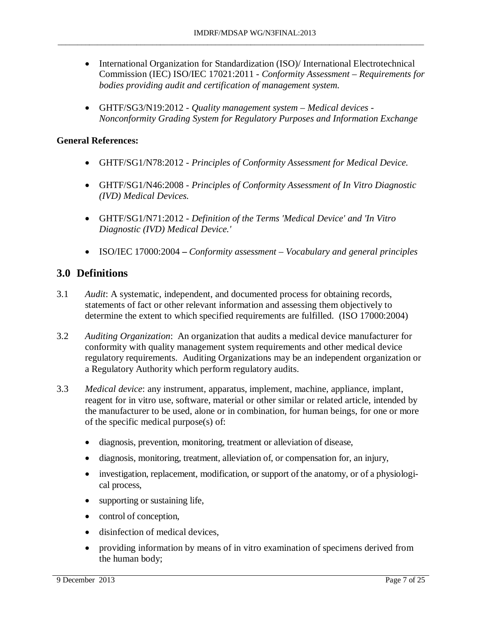- International Organization for Standardization (ISO)/International Electrotechnical Commission (IEC) ISO/IEC 17021:2011 - *Conformity Assessment – Requirements for bodies providing audit and certification of management system.*
- GHTF/SG3/N19:2012 *Quality management system Medical devices Nonconformity Grading System for Regulatory Purposes and Information Exchange*

### **General References:**

- GHTF/SG1/N78:2012 *Principles of Conformity Assessment for Medical Device.*
- GHTF/SG1/N46:2008 *Principles of Conformity Assessment of In Vitro Diagnostic (IVD) Medical Devices.*
- GHTF/SG1/N71:2012 *Definition of the Terms 'Medical Device' and 'In Vitro Diagnostic (IVD) Medical Device.'*
- ISO/IEC 17000:2004*Conformity assessment Vocabulary and general principles*

## <span id="page-6-0"></span>**3.0 Definitions**

- 3.1 *Audit*: A systematic, independent, and documented process for obtaining records, statements of fact or other relevant information and assessing them objectively to determine the extent to which specified requirements are fulfilled. (ISO 17000:2004)
- 3.2 *Auditing Organization*: An organization that audits a medical device manufacturer for conformity with quality management system requirements and other medical device regulatory requirements. Auditing Organizations may be an independent organization or a Regulatory Authority which perform regulatory audits.
- 3.3 *Medical device*: any instrument, apparatus, implement, machine, appliance, implant, reagent for in vitro use, software, material or other similar or related article, intended by the manufacturer to be used, alone or in combination, for human beings, for one or more of the specific medical purpose(s) of:
	- diagnosis, prevention, monitoring, treatment or alleviation of disease,
	- diagnosis, monitoring, treatment, alleviation of, or compensation for, an injury,
	- investigation, replacement, modification, or support of the anatomy, or of a physiological process,
	- supporting or sustaining life,
	- control of conception,
	- disinfection of medical devices,
	- providing information by means of in vitro examination of specimens derived from the human body;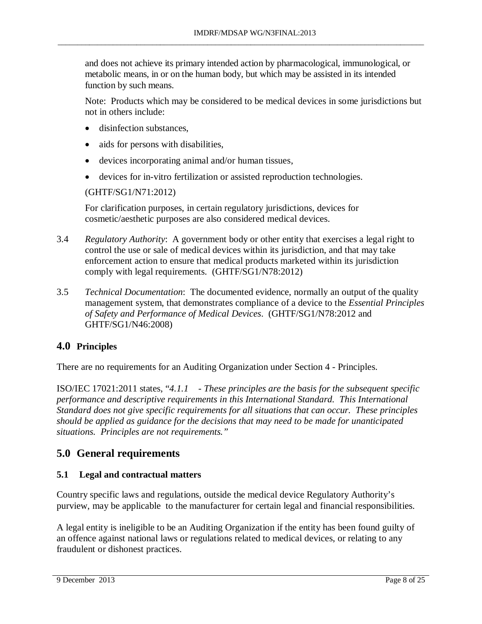and does not achieve its primary intended action by pharmacological, immunological, or metabolic means, in or on the human body, but which may be assisted in its intended function by such means.

\_\_\_\_\_\_\_\_\_\_\_\_\_\_\_\_\_\_\_\_\_\_\_\_\_\_\_\_\_\_\_\_\_\_\_\_\_\_\_\_\_\_\_\_\_\_\_\_\_\_\_\_\_\_\_\_\_\_\_\_\_\_\_\_\_\_\_\_\_\_\_\_\_\_\_\_\_\_\_\_\_\_\_\_\_\_\_\_\_\_\_\_\_

Note: Products which may be considered to be medical devices in some jurisdictions but not in others include:

- disinfection substances,
- aids for persons with disabilities,
- devices incorporating animal and/or human tissues,
- devices for in-vitro fertilization or assisted reproduction technologies.

(GHTF/SG1/N71:2012)

For clarification purposes, in certain regulatory jurisdictions, devices for cosmetic/aesthetic purposes are also considered medical devices.

- 3.4 *Regulatory Authority*: A government body or other entity that exercises a legal right to control the use or sale of medical devices within its jurisdiction, and that may take enforcement action to ensure that medical products marketed within its jurisdiction comply with legal requirements. (GHTF/SG1/N78:2012)
- 3.5 *Technical Documentation*: The documented evidence, normally an output of the quality management system, that demonstrates compliance of a device to the *Essential Principles of Safety and Performance of Medical Devices*. (GHTF/SG1/N78:2012 and GHTF/SG1/N46:2008)

## <span id="page-7-0"></span>**4.0 Principles**

There are no requirements for an Auditing Organization under Section 4 - Principles.

ISO/IEC 17021:2011 states, "*4.1.1 - These principles are the basis for the subsequent specific performance and descriptive requirements in this International Standard. This International Standard does not give specific requirements for all situations that can occur. These principles should be applied as guidance for the decisions that may need to be made for unanticipated situations. Principles are not requirements."* 

## <span id="page-7-1"></span>**5.0 General requirements**

## **5.1 Legal and contractual matters**

Country specific laws and regulations, outside the medical device Regulatory Authority's purview, may be applicable to the manufacturer for certain legal and financial responsibilities.

A legal entity is ineligible to be an Auditing Organization if the entity has been found guilty of an offence against national laws or regulations related to medical devices, or relating to any fraudulent or dishonest practices.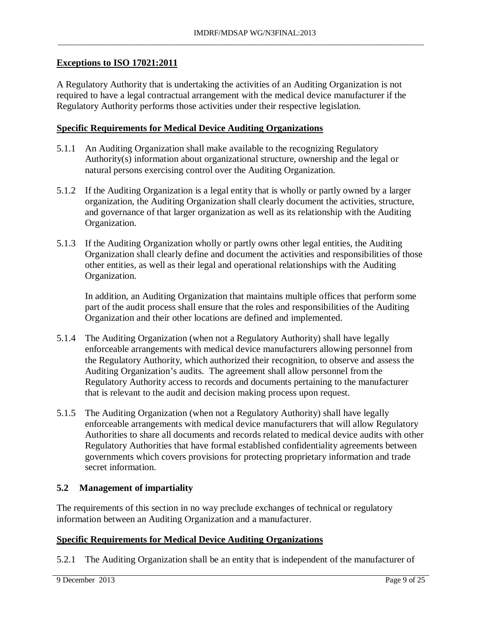### **Exceptions to ISO 17021:2011**

A Regulatory Authority that is undertaking the activities of an Auditing Organization is not required to have a legal contractual arrangement with the medical device manufacturer if the Regulatory Authority performs those activities under their respective legislation.

#### **Specific Requirements for Medical Device Auditing Organizations**

- 5.1.1 An Auditing Organization shall make available to the recognizing Regulatory Authority(s) information about organizational structure, ownership and the legal or natural persons exercising control over the Auditing Organization.
- 5.1.2 If the Auditing Organization is a legal entity that is wholly or partly owned by a larger organization, the Auditing Organization shall clearly document the activities, structure, and governance of that larger organization as well as its relationship with the Auditing Organization.
- 5.1.3 If the Auditing Organization wholly or partly owns other legal entities, the Auditing Organization shall clearly define and document the activities and responsibilities of those other entities, as well as their legal and operational relationships with the Auditing Organization.

In addition, an Auditing Organization that maintains multiple offices that perform some part of the audit process shall ensure that the roles and responsibilities of the Auditing Organization and their other locations are defined and implemented.

- 5.1.4 The Auditing Organization (when not a Regulatory Authority) shall have legally enforceable arrangements with medical device manufacturers allowing personnel from the Regulatory Authority, which authorized their recognition, to observe and assess the Auditing Organization's audits. The agreement shall allow personnel from the Regulatory Authority access to records and documents pertaining to the manufacturer that is relevant to the audit and decision making process upon request.
- 5.1.5 The Auditing Organization (when not a Regulatory Authority) shall have legally enforceable arrangements with medical device manufacturers that will allow Regulatory Authorities to share all documents and records related to medical device audits with other Regulatory Authorities that have formal established confidentiality agreements between governments which covers provisions for protecting proprietary information and trade secret information.

#### **5.2 Management of impartiality**

The requirements of this section in no way preclude exchanges of technical or regulatory information between an Auditing Organization and a manufacturer.

## **Specific Requirements for Medical Device Auditing Organizations**

5.2.1 The Auditing Organization shall be an entity that is independent of the manufacturer of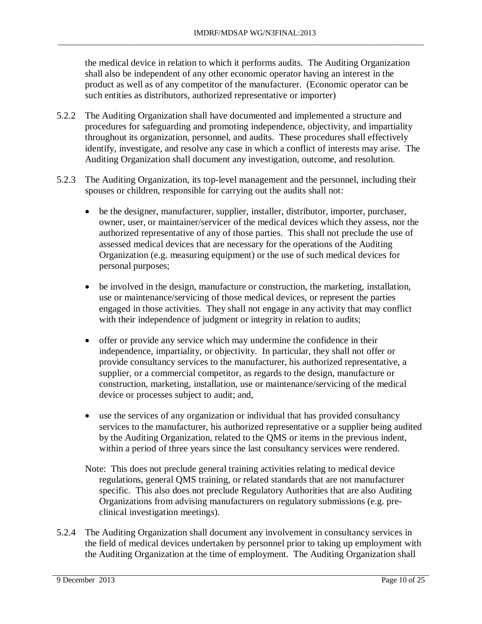the medical device in relation to which it performs audits. The Auditing Organization shall also be independent of any other economic operator having an interest in the product as well as of any competitor of the manufacturer. (Economic operator can be such entities as distributors, authorized representative or importer)

\_\_\_\_\_\_\_\_\_\_\_\_\_\_\_\_\_\_\_\_\_\_\_\_\_\_\_\_\_\_\_\_\_\_\_\_\_\_\_\_\_\_\_\_\_\_\_\_\_\_\_\_\_\_\_\_\_\_\_\_\_\_\_\_\_\_\_\_\_\_\_\_\_\_\_\_\_\_\_\_\_\_\_\_\_\_\_\_\_\_\_\_\_

- 5.2.2 The Auditing Organization shall have documented and implemented a structure and procedures for safeguarding and promoting independence, objectivity, and impartiality throughout its organization, personnel, and audits. These procedures shall effectively identify, investigate, and resolve any case in which a conflict of interests may arise. The Auditing Organization shall document any investigation, outcome, and resolution.
- 5.2.3 The Auditing Organization, its top-level management and the personnel, including their spouses or children, responsible for carrying out the audits shall not:
	- be the designer, manufacturer, supplier, installer, distributor, importer, purchaser, owner, user, or maintainer/servicer of the medical devices which they assess, nor the authorized representative of any of those parties. This shall not preclude the use of assessed medical devices that are necessary for the operations of the Auditing Organization (e.g. measuring equipment) or the use of such medical devices for personal purposes;
	- be involved in the design, manufacture or construction, the marketing, installation, use or maintenance/servicing of those medical devices, or represent the parties engaged in those activities. They shall not engage in any activity that may conflict with their independence of judgment or integrity in relation to audits;
	- offer or provide any service which may undermine the confidence in their independence, impartiality, or objectivity. In particular, they shall not offer or provide consultancy services to the manufacturer, his authorized representative, a supplier, or a commercial competitor, as regards to the design, manufacture or construction, marketing, installation, use or maintenance/servicing of the medical device or processes subject to audit; and,
	- use the services of any organization or individual that has provided consultancy services to the manufacturer, his authorized representative or a supplier being audited by the Auditing Organization, related to the QMS or items in the previous indent, within a period of three years since the last consultancy services were rendered.
	- Note: This does not preclude general training activities relating to medical device regulations, general QMS training, or related standards that are not manufacturer specific. This also does not preclude Regulatory Authorities that are also Auditing Organizations from advising manufacturers on regulatory submissions (e.g. preclinical investigation meetings).
- 5.2.4 The Auditing Organization shall document any involvement in consultancy services in the field of medical devices undertaken by personnel prior to taking up employment with the Auditing Organization at the time of employment. The Auditing Organization shall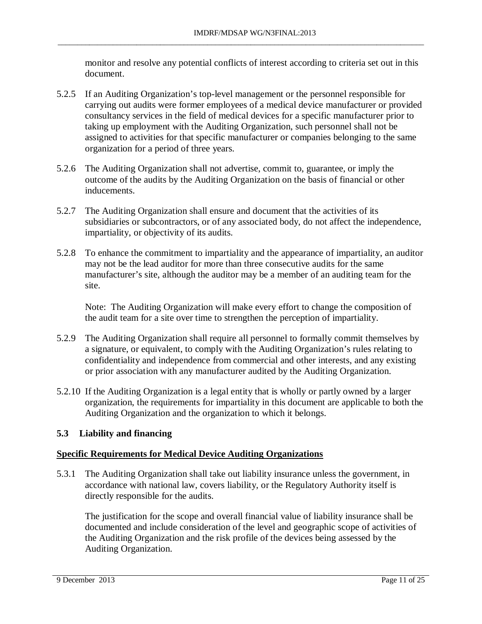monitor and resolve any potential conflicts of interest according to criteria set out in this document.

- 5.2.5 If an Auditing Organization's top-level management or the personnel responsible for carrying out audits were former employees of a medical device manufacturer or provided consultancy services in the field of medical devices for a specific manufacturer prior to taking up employment with the Auditing Organization, such personnel shall not be assigned to activities for that specific manufacturer or companies belonging to the same organization for a period of three years.
- 5.2.6 The Auditing Organization shall not advertise, commit to, guarantee, or imply the outcome of the audits by the Auditing Organization on the basis of financial or other inducements.
- 5.2.7 The Auditing Organization shall ensure and document that the activities of its subsidiaries or subcontractors, or of any associated body, do not affect the independence, impartiality, or objectivity of its audits.
- 5.2.8 To enhance the commitment to impartiality and the appearance of impartiality, an auditor may not be the lead auditor for more than three consecutive audits for the same manufacturer's site, although the auditor may be a member of an auditing team for the site.

Note: The Auditing Organization will make every effort to change the composition of the audit team for a site over time to strengthen the perception of impartiality.

- 5.2.9 The Auditing Organization shall require all personnel to formally commit themselves by a signature, or equivalent, to comply with the Auditing Organization's rules relating to confidentiality and independence from commercial and other interests, and any existing or prior association with any manufacturer audited by the Auditing Organization.
- 5.2.10 If the Auditing Organization is a legal entity that is wholly or partly owned by a larger organization, the requirements for impartiality in this document are applicable to both the Auditing Organization and the organization to which it belongs.

## **5.3 Liability and financing**

## **Specific Requirements for Medical Device Auditing Organizations**

5.3.1 The Auditing Organization shall take out liability insurance unless the government, in accordance with national law, covers liability, or the Regulatory Authority itself is directly responsible for the audits.

The justification for the scope and overall financial value of liability insurance shall be documented and include consideration of the level and geographic scope of activities of the Auditing Organization and the risk profile of the devices being assessed by the Auditing Organization.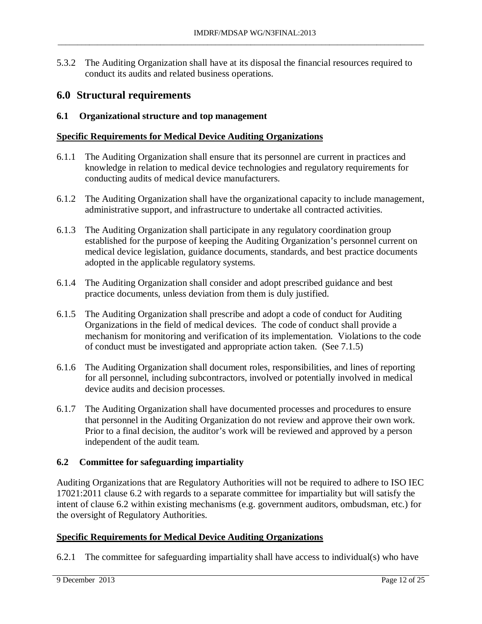5.3.2 The Auditing Organization shall have at its disposal the financial resources required to conduct its audits and related business operations.

\_\_\_\_\_\_\_\_\_\_\_\_\_\_\_\_\_\_\_\_\_\_\_\_\_\_\_\_\_\_\_\_\_\_\_\_\_\_\_\_\_\_\_\_\_\_\_\_\_\_\_\_\_\_\_\_\_\_\_\_\_\_\_\_\_\_\_\_\_\_\_\_\_\_\_\_\_\_\_\_\_\_\_\_\_\_\_\_\_\_\_\_\_

## <span id="page-11-0"></span>**6.0 Structural requirements**

#### **6.1 Organizational structure and top management**

#### **Specific Requirements for Medical Device Auditing Organizations**

- 6.1.1 The Auditing Organization shall ensure that its personnel are current in practices and knowledge in relation to medical device technologies and regulatory requirements for conducting audits of medical device manufacturers.
- 6.1.2 The Auditing Organization shall have the organizational capacity to include management, administrative support, and infrastructure to undertake all contracted activities.
- 6.1.3 The Auditing Organization shall participate in any regulatory coordination group established for the purpose of keeping the Auditing Organization's personnel current on medical device legislation, guidance documents, standards, and best practice documents adopted in the applicable regulatory systems.
- 6.1.4 The Auditing Organization shall consider and adopt prescribed guidance and best practice documents, unless deviation from them is duly justified.
- 6.1.5 The Auditing Organization shall prescribe and adopt a code of conduct for Auditing Organizations in the field of medical devices. The code of conduct shall provide a mechanism for monitoring and verification of its implementation. Violations to the code of conduct must be investigated and appropriate action taken. (See 7.1.5)
- 6.1.6 The Auditing Organization shall document roles, responsibilities, and lines of reporting for all personnel, including subcontractors, involved or potentially involved in medical device audits and decision processes.
- 6.1.7 The Auditing Organization shall have documented processes and procedures to ensure that personnel in the Auditing Organization do not review and approve their own work. Prior to a final decision, the auditor's work will be reviewed and approved by a person independent of the audit team.

#### **6.2 Committee for safeguarding impartiality**

Auditing Organizations that are Regulatory Authorities will not be required to adhere to ISO IEC 17021:2011 clause 6.2 with regards to a separate committee for impartiality but will satisfy the intent of clause 6.2 within existing mechanisms (e.g. government auditors, ombudsman, etc.) for the oversight of Regulatory Authorities.

#### **Specific Requirements for Medical Device Auditing Organizations**

6.2.1 The committee for safeguarding impartiality shall have access to individual(s) who have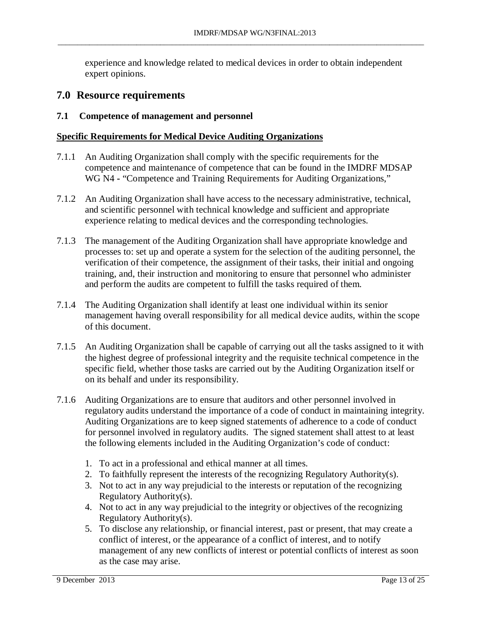experience and knowledge related to medical devices in order to obtain independent expert opinions.

\_\_\_\_\_\_\_\_\_\_\_\_\_\_\_\_\_\_\_\_\_\_\_\_\_\_\_\_\_\_\_\_\_\_\_\_\_\_\_\_\_\_\_\_\_\_\_\_\_\_\_\_\_\_\_\_\_\_\_\_\_\_\_\_\_\_\_\_\_\_\_\_\_\_\_\_\_\_\_\_\_\_\_\_\_\_\_\_\_\_\_\_\_

## <span id="page-12-0"></span>**7.0 Resource requirements**

### **7.1 Competence of management and personnel**

- 7.1.1 An Auditing Organization shall comply with the specific requirements for the competence and maintenance of competence that can be found in the IMDRF MDSAP WG N4 **-** "Competence and Training Requirements for Auditing Organizations,"
- 7.1.2 An Auditing Organization shall have access to the necessary administrative, technical, and scientific personnel with technical knowledge and sufficient and appropriate experience relating to medical devices and the corresponding technologies.
- 7.1.3 The management of the Auditing Organization shall have appropriate knowledge and processes to: set up and operate a system for the selection of the auditing personnel, the verification of their competence, the assignment of their tasks, their initial and ongoing training, and, their instruction and monitoring to ensure that personnel who administer and perform the audits are competent to fulfill the tasks required of them.
- 7.1.4 The Auditing Organization shall identify at least one individual within its senior management having overall responsibility for all medical device audits, within the scope of this document.
- 7.1.5 An Auditing Organization shall be capable of carrying out all the tasks assigned to it with the highest degree of professional integrity and the requisite technical competence in the specific field, whether those tasks are carried out by the Auditing Organization itself or on its behalf and under its responsibility.
- 7.1.6 Auditing Organizations are to ensure that auditors and other personnel involved in regulatory audits understand the importance of a code of conduct in maintaining integrity. Auditing Organizations are to keep signed statements of adherence to a code of conduct for personnel involved in regulatory audits. The signed statement shall attest to at least the following elements included in the Auditing Organization's code of conduct:
	- 1. To act in a professional and ethical manner at all times.
	- 2. To faithfully represent the interests of the recognizing Regulatory Authority(s).
	- 3. Not to act in any way prejudicial to the interests or reputation of the recognizing Regulatory Authority(s).
	- 4. Not to act in any way prejudicial to the integrity or objectives of the recognizing Regulatory Authority(s).
	- 5. To disclose any relationship, or financial interest, past or present, that may create a conflict of interest, or the appearance of a conflict of interest, and to notify management of any new conflicts of interest or potential conflicts of interest as soon as the case may arise.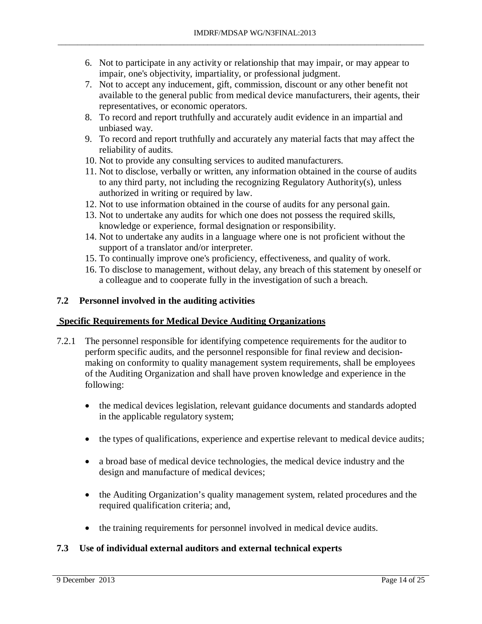6. Not to participate in any activity or relationship that may impair, or may appear to impair, one's objectivity, impartiality, or professional judgment.

\_\_\_\_\_\_\_\_\_\_\_\_\_\_\_\_\_\_\_\_\_\_\_\_\_\_\_\_\_\_\_\_\_\_\_\_\_\_\_\_\_\_\_\_\_\_\_\_\_\_\_\_\_\_\_\_\_\_\_\_\_\_\_\_\_\_\_\_\_\_\_\_\_\_\_\_\_\_\_\_\_\_\_\_\_\_\_\_\_\_\_\_\_

- 7. Not to accept any inducement, gift, commission, discount or any other benefit not available to the general public from medical device manufacturers, their agents, their representatives, or economic operators.
- 8. To record and report truthfully and accurately audit evidence in an impartial and unbiased way.
- 9. To record and report truthfully and accurately any material facts that may affect the reliability of audits.
- 10. Not to provide any consulting services to audited manufacturers.
- 11. Not to disclose, verbally or written, any information obtained in the course of audits to any third party, not including the recognizing Regulatory Authority(s), unless authorized in writing or required by law.
- 12. Not to use information obtained in the course of audits for any personal gain.
- 13. Not to undertake any audits for which one does not possess the required skills, knowledge or experience, formal designation or responsibility.
- 14. Not to undertake any audits in a language where one is not proficient without the support of a translator and/or interpreter.
- 15. To continually improve one's proficiency, effectiveness, and quality of work.
- 16. To disclose to management, without delay, any breach of this statement by oneself or a colleague and to cooperate fully in the investigation of such a breach.

### **7.2 Personnel involved in the auditing activities**

#### **Specific Requirements for Medical Device Auditing Organizations**

- 7.2.1 The personnel responsible for identifying competence requirements for the auditor to perform specific audits, and the personnel responsible for final review and decisionmaking on conformity to quality management system requirements, shall be employees of the Auditing Organization and shall have proven knowledge and experience in the following:
	- the medical devices legislation, relevant guidance documents and standards adopted in the applicable regulatory system;
	- the types of qualifications, experience and expertise relevant to medical device audits;
	- a broad base of medical device technologies, the medical device industry and the design and manufacture of medical devices;
	- the Auditing Organization's quality management system, related procedures and the required qualification criteria; and,
	- the training requirements for personnel involved in medical device audits.

## **7.3 Use of individual external auditors and external technical experts**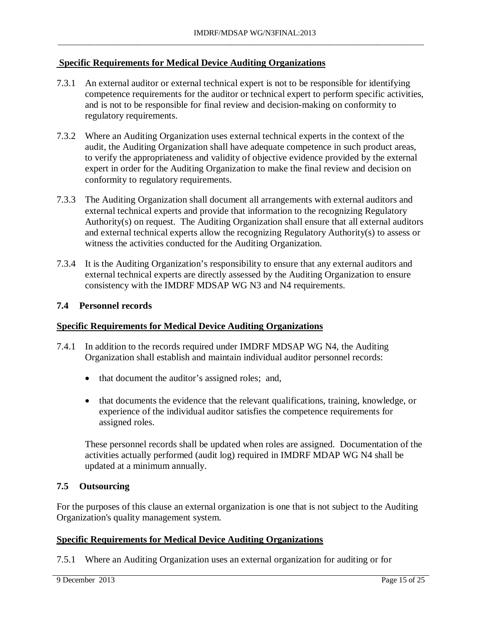### **Specific Requirements for Medical Device Auditing Organizations**

7.3.1 An external auditor or external technical expert is not to be responsible for identifying competence requirements for the auditor or technical expert to perform specific activities, and is not to be responsible for final review and decision-making on conformity to regulatory requirements.

\_\_\_\_\_\_\_\_\_\_\_\_\_\_\_\_\_\_\_\_\_\_\_\_\_\_\_\_\_\_\_\_\_\_\_\_\_\_\_\_\_\_\_\_\_\_\_\_\_\_\_\_\_\_\_\_\_\_\_\_\_\_\_\_\_\_\_\_\_\_\_\_\_\_\_\_\_\_\_\_\_\_\_\_\_\_\_\_\_\_\_\_\_

- 7.3.2 Where an Auditing Organization uses external technical experts in the context of the audit, the Auditing Organization shall have adequate competence in such product areas, to verify the appropriateness and validity of objective evidence provided by the external expert in order for the Auditing Organization to make the final review and decision on conformity to regulatory requirements.
- 7.3.3 The Auditing Organization shall document all arrangements with external auditors and external technical experts and provide that information to the recognizing Regulatory Authority(s) on request. The Auditing Organization shall ensure that all external auditors and external technical experts allow the recognizing Regulatory Authority(s) to assess or witness the activities conducted for the Auditing Organization.
- 7.3.4 It is the Auditing Organization's responsibility to ensure that any external auditors and external technical experts are directly assessed by the Auditing Organization to ensure consistency with the IMDRF MDSAP WG N3 and N4 requirements.

#### **7.4 Personnel records**

#### **Specific Requirements for Medical Device Auditing Organizations**

- 7.4.1 In addition to the records required under IMDRF MDSAP WG N4, the Auditing Organization shall establish and maintain individual auditor personnel records:
	- that document the auditor's assigned roles; and,
	- that documents the evidence that the relevant qualifications, training, knowledge, or experience of the individual auditor satisfies the competence requirements for assigned roles.

These personnel records shall be updated when roles are assigned. Documentation of the activities actually performed (audit log) required in IMDRF MDAP WG N4 shall be updated at a minimum annually.

#### **7.5 Outsourcing**

For the purposes of this clause an external organization is one that is not subject to the Auditing Organization's quality management system.

#### **Specific Requirements for Medical Device Auditing Organizations**

7.5.1 Where an Auditing Organization uses an external organization for auditing or for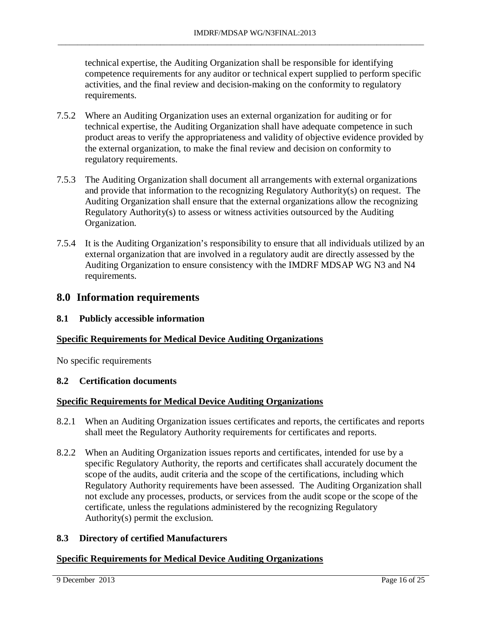technical expertise, the Auditing Organization shall be responsible for identifying competence requirements for any auditor or technical expert supplied to perform specific activities, and the final review and decision-making on the conformity to regulatory requirements.

- 7.5.2 Where an Auditing Organization uses an external organization for auditing or for technical expertise, the Auditing Organization shall have adequate competence in such product areas to verify the appropriateness and validity of objective evidence provided by the external organization, to make the final review and decision on conformity to regulatory requirements.
- 7.5.3 The Auditing Organization shall document all arrangements with external organizations and provide that information to the recognizing Regulatory Authority(s) on request. The Auditing Organization shall ensure that the external organizations allow the recognizing Regulatory Authority(s) to assess or witness activities outsourced by the Auditing Organization.
- 7.5.4 It is the Auditing Organization's responsibility to ensure that all individuals utilized by an external organization that are involved in a regulatory audit are directly assessed by the Auditing Organization to ensure consistency with the IMDRF MDSAP WG N3 and N4 requirements.

## <span id="page-15-0"></span>**8.0 Information requirements**

#### **8.1 Publicly accessible information**

#### **Specific Requirements for Medical Device Auditing Organizations**

No specific requirements

### **8.2 Certification documents**

#### **Specific Requirements for Medical Device Auditing Organizations**

- 8.2.1 When an Auditing Organization issues certificates and reports, the certificates and reports shall meet the Regulatory Authority requirements for certificates and reports.
- 8.2.2 When an Auditing Organization issues reports and certificates, intended for use by a specific Regulatory Authority, the reports and certificates shall accurately document the scope of the audits, audit criteria and the scope of the certifications, including which Regulatory Authority requirements have been assessed. The Auditing Organization shall not exclude any processes, products, or services from the audit scope or the scope of the certificate, unless the regulations administered by the recognizing Regulatory Authority(s) permit the exclusion.

#### **8.3 Directory of certified Manufacturers**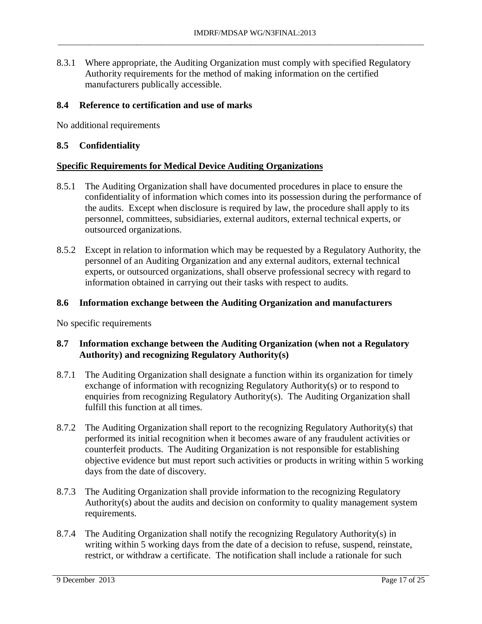8.3.1 Where appropriate, the Auditing Organization must comply with specified Regulatory Authority requirements for the method of making information on the certified manufacturers publically accessible.

\_\_\_\_\_\_\_\_\_\_\_\_\_\_\_\_\_\_\_\_\_\_\_\_\_\_\_\_\_\_\_\_\_\_\_\_\_\_\_\_\_\_\_\_\_\_\_\_\_\_\_\_\_\_\_\_\_\_\_\_\_\_\_\_\_\_\_\_\_\_\_\_\_\_\_\_\_\_\_\_\_\_\_\_\_\_\_\_\_\_\_\_\_

#### **8.4 Reference to certification and use of marks**

No additional requirements

#### **8.5 Confidentiality**

#### **Specific Requirements for Medical Device Auditing Organizations**

- 8.5.1 The Auditing Organization shall have documented procedures in place to ensure the confidentiality of information which comes into its possession during the performance of the audits. Except when disclosure is required by law, the procedure shall apply to its personnel, committees, subsidiaries, external auditors, external technical experts, or outsourced organizations.
- 8.5.2 Except in relation to information which may be requested by a Regulatory Authority, the personnel of an Auditing Organization and any external auditors, external technical experts, or outsourced organizations, shall observe professional secrecy with regard to information obtained in carrying out their tasks with respect to audits.

#### **8.6 Information exchange between the Auditing Organization and manufacturers**

No specific requirements

#### **8.7 Information exchange between the Auditing Organization (when not a Regulatory Authority) and recognizing Regulatory Authority(s)**

- 8.7.1 The Auditing Organization shall designate a function within its organization for timely exchange of information with recognizing Regulatory Authority(s) or to respond to enquiries from recognizing Regulatory Authority(s). The Auditing Organization shall fulfill this function at all times.
- 8.7.2 The Auditing Organization shall report to the recognizing Regulatory Authority(s) that performed its initial recognition when it becomes aware of any fraudulent activities or counterfeit products. The Auditing Organization is not responsible for establishing objective evidence but must report such activities or products in writing within 5 working days from the date of discovery.
- 8.7.3 The Auditing Organization shall provide information to the recognizing Regulatory Authority(s) about the audits and decision on conformity to quality management system requirements.
- 8.7.4 The Auditing Organization shall notify the recognizing Regulatory Authority(s) in writing within 5 working days from the date of a decision to refuse, suspend, reinstate, restrict, or withdraw a certificate. The notification shall include a rationale for such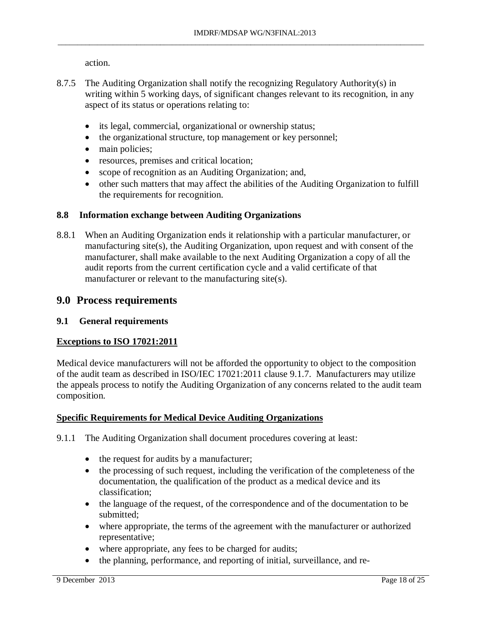action.

- 8.7.5 The Auditing Organization shall notify the recognizing Regulatory Authority(s) in writing within 5 working days, of significant changes relevant to its recognition, in any aspect of its status or operations relating to:
	- its legal, commercial, organizational or ownership status;
	- the organizational structure, top management or key personnel;
	- main policies;
	- resources, premises and critical location;
	- scope of recognition as an Auditing Organization; and,
	- other such matters that may affect the abilities of the Auditing Organization to fulfill the requirements for recognition.

#### **8.8 Information exchange between Auditing Organizations**

8.8.1 When an Auditing Organization ends it relationship with a particular manufacturer, or manufacturing site(s), the Auditing Organization, upon request and with consent of the manufacturer, shall make available to the next Auditing Organization a copy of all the audit reports from the current certification cycle and a valid certificate of that manufacturer or relevant to the manufacturing site(s).

## <span id="page-17-0"></span>**9.0 Process requirements**

#### **9.1 General requirements**

#### **Exceptions to ISO 17021:2011**

Medical device manufacturers will not be afforded the opportunity to object to the composition of the audit team as described in ISO/IEC 17021:2011 clause 9.1.7. Manufacturers may utilize the appeals process to notify the Auditing Organization of any concerns related to the audit team composition.

#### **Specific Requirements for Medical Device Auditing Organizations**

9.1.1 The Auditing Organization shall document procedures covering at least:

- the request for audits by a manufacturer;
- the processing of such request, including the verification of the completeness of the documentation, the qualification of the product as a medical device and its classification;
- the language of the request, of the correspondence and of the documentation to be submitted;
- where appropriate, the terms of the agreement with the manufacturer or authorized representative;
- where appropriate, any fees to be charged for audits;
- the planning, performance, and reporting of initial, surveillance, and re-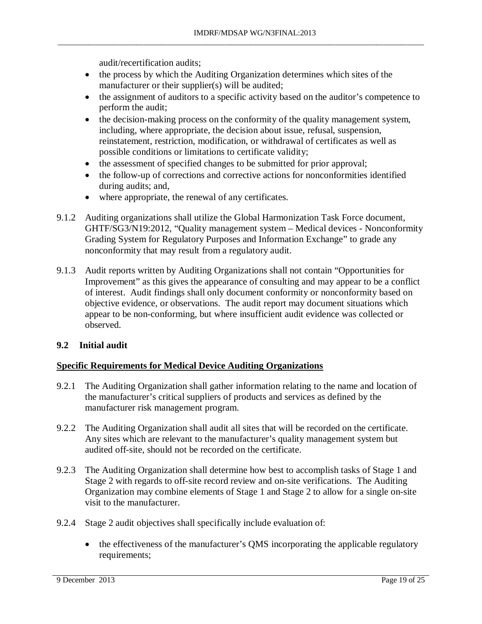audit/recertification audits;

• the process by which the Auditing Organization determines which sites of the manufacturer or their supplier(s) will be audited;

\_\_\_\_\_\_\_\_\_\_\_\_\_\_\_\_\_\_\_\_\_\_\_\_\_\_\_\_\_\_\_\_\_\_\_\_\_\_\_\_\_\_\_\_\_\_\_\_\_\_\_\_\_\_\_\_\_\_\_\_\_\_\_\_\_\_\_\_\_\_\_\_\_\_\_\_\_\_\_\_\_\_\_\_\_\_\_\_\_\_\_\_\_

- the assignment of auditors to a specific activity based on the auditor's competence to perform the audit;
- the decision-making process on the conformity of the quality management system, including, where appropriate, the decision about issue, refusal, suspension, reinstatement, restriction, modification, or withdrawal of certificates as well as possible conditions or limitations to certificate validity;
- the assessment of specified changes to be submitted for prior approval;
- the follow-up of corrections and corrective actions for nonconformities identified during audits; and,
- where appropriate, the renewal of any certificates.
- 9.1.2 Auditing organizations shall utilize the Global Harmonization Task Force document, GHTF/SG3/N19:2012, "Quality management system – Medical devices - Nonconformity Grading System for Regulatory Purposes and Information Exchange" to grade any nonconformity that may result from a regulatory audit.
- 9.1.3 Audit reports written by Auditing Organizations shall not contain "Opportunities for Improvement" as this gives the appearance of consulting and may appear to be a conflict of interest. Audit findings shall only document conformity or nonconformity based on objective evidence, or observations. The audit report may document situations which appear to be non-conforming, but where insufficient audit evidence was collected or observed.

## **9.2 Initial audit**

- 9.2.1 The Auditing Organization shall gather information relating to the name and location of the manufacturer's critical suppliers of products and services as defined by the manufacturer risk management program.
- 9.2.2 The Auditing Organization shall audit all sites that will be recorded on the certificate. Any sites which are relevant to the manufacturer's quality management system but audited off-site, should not be recorded on the certificate.
- 9.2.3 The Auditing Organization shall determine how best to accomplish tasks of Stage 1 and Stage 2 with regards to off-site record review and on-site verifications. The Auditing Organization may combine elements of Stage 1 and Stage 2 to allow for a single on-site visit to the manufacturer.
- 9.2.4 Stage 2 audit objectives shall specifically include evaluation of:
	- the effectiveness of the manufacturer's QMS incorporating the applicable regulatory requirements;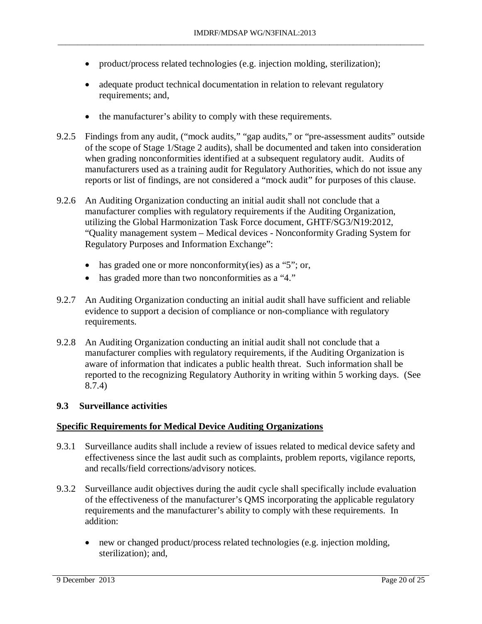• product/process related technologies (e.g. injection molding, sterilization);

\_\_\_\_\_\_\_\_\_\_\_\_\_\_\_\_\_\_\_\_\_\_\_\_\_\_\_\_\_\_\_\_\_\_\_\_\_\_\_\_\_\_\_\_\_\_\_\_\_\_\_\_\_\_\_\_\_\_\_\_\_\_\_\_\_\_\_\_\_\_\_\_\_\_\_\_\_\_\_\_\_\_\_\_\_\_\_\_\_\_\_\_\_

- adequate product technical documentation in relation to relevant regulatory requirements; and,
- the manufacturer's ability to comply with these requirements.
- 9.2.5 Findings from any audit, ("mock audits," "gap audits," or "pre-assessment audits" outside of the scope of Stage 1/Stage 2 audits), shall be documented and taken into consideration when grading nonconformities identified at a subsequent regulatory audit. Audits of manufacturers used as a training audit for Regulatory Authorities, which do not issue any reports or list of findings, are not considered a "mock audit" for purposes of this clause.
- 9.2.6 An Auditing Organization conducting an initial audit shall not conclude that a manufacturer complies with regulatory requirements if the Auditing Organization, utilizing the Global Harmonization Task Force document, GHTF/SG3/N19:2012, "Quality management system – Medical devices - Nonconformity Grading System for Regulatory Purposes and Information Exchange":
	- has graded one or more nonconformity(ies) as a "5"; or,
	- has graded more than two nonconformities as a "4."
- 9.2.7 An Auditing Organization conducting an initial audit shall have sufficient and reliable evidence to support a decision of compliance or non-compliance with regulatory requirements.
- 9.2.8 An Auditing Organization conducting an initial audit shall not conclude that a manufacturer complies with regulatory requirements, if the Auditing Organization is aware of information that indicates a public health threat. Such information shall be reported to the recognizing Regulatory Authority in writing within 5 working days. (See 8.7.4)

#### **9.3 Surveillance activities**

- 9.3.1 Surveillance audits shall include a review of issues related to medical device safety and effectiveness since the last audit such as complaints, problem reports, vigilance reports, and recalls/field corrections/advisory notices.
- 9.3.2 Surveillance audit objectives during the audit cycle shall specifically include evaluation of the effectiveness of the manufacturer's QMS incorporating the applicable regulatory requirements and the manufacturer's ability to comply with these requirements. In addition:
	- new or changed product/process related technologies (e.g. injection molding, sterilization); and,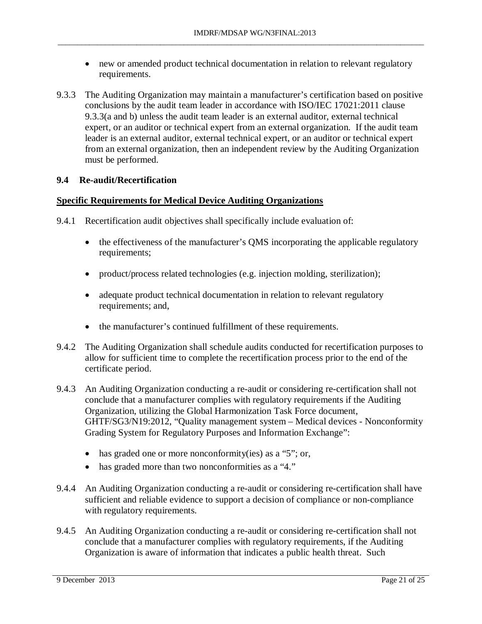• new or amended product technical documentation in relation to relevant regulatory requirements.

\_\_\_\_\_\_\_\_\_\_\_\_\_\_\_\_\_\_\_\_\_\_\_\_\_\_\_\_\_\_\_\_\_\_\_\_\_\_\_\_\_\_\_\_\_\_\_\_\_\_\_\_\_\_\_\_\_\_\_\_\_\_\_\_\_\_\_\_\_\_\_\_\_\_\_\_\_\_\_\_\_\_\_\_\_\_\_\_\_\_\_\_\_

9.3.3 The Auditing Organization may maintain a manufacturer's certification based on positive conclusions by the audit team leader in accordance with ISO/IEC 17021:2011 clause 9.3.3(a and b) unless the audit team leader is an external auditor, external technical expert, or an auditor or technical expert from an external organization. If the audit team leader is an external auditor, external technical expert, or an auditor or technical expert from an external organization, then an independent review by the Auditing Organization must be performed.

### **9.4 Re-audit/Recertification**

- 9.4.1 Recertification audit objectives shall specifically include evaluation of:
	- the effectiveness of the manufacturer's QMS incorporating the applicable regulatory requirements;
	- product/process related technologies (e.g. injection molding, sterilization);
	- adequate product technical documentation in relation to relevant regulatory requirements; and,
	- the manufacturer's continued fulfillment of these requirements.
- 9.4.2 The Auditing Organization shall schedule audits conducted for recertification purposes to allow for sufficient time to complete the recertification process prior to the end of the certificate period.
- 9.4.3 An Auditing Organization conducting a re-audit or considering re-certification shall not conclude that a manufacturer complies with regulatory requirements if the Auditing Organization, utilizing the Global Harmonization Task Force document, GHTF/SG3/N19:2012, "Quality management system – Medical devices - Nonconformity Grading System for Regulatory Purposes and Information Exchange":
	- has graded one or more nonconformity(ies) as a "5"; or,
	- has graded more than two nonconformities as a "4."
- 9.4.4 An Auditing Organization conducting a re-audit or considering re-certification shall have sufficient and reliable evidence to support a decision of compliance or non-compliance with regulatory requirements.
- 9.4.5 An Auditing Organization conducting a re-audit or considering re-certification shall not conclude that a manufacturer complies with regulatory requirements, if the Auditing Organization is aware of information that indicates a public health threat. Such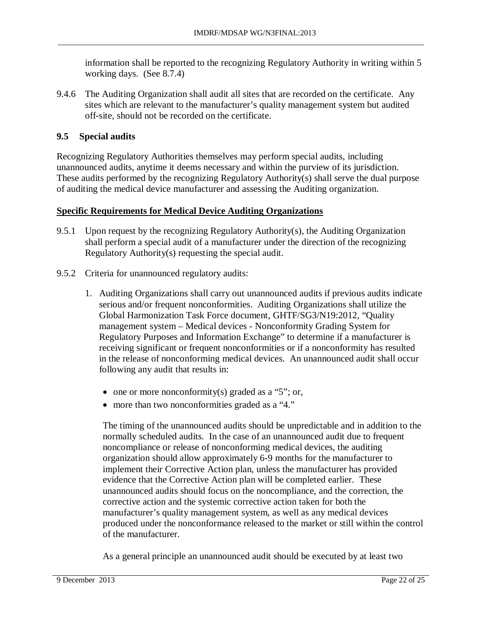information shall be reported to the recognizing Regulatory Authority in writing within 5 working days. (See 8.7.4)

9.4.6 The Auditing Organization shall audit all sites that are recorded on the certificate.Any sites which are relevant to the manufacturer's quality management system but audited off-site, should not be recorded on the certificate.

## **9.5 Special audits**

Recognizing Regulatory Authorities themselves may perform special audits, including unannounced audits, anytime it deems necessary and within the purview of its jurisdiction. These audits performed by the recognizing Regulatory Authority(s) shall serve the dual purpose of auditing the medical device manufacturer and assessing the Auditing organization.

### **Specific Requirements for Medical Device Auditing Organizations**

- 9.5.1 Upon request by the recognizing Regulatory Authority(s), the Auditing Organization shall perform a special audit of a manufacturer under the direction of the recognizing Regulatory Authority(s) requesting the special audit.
- 9.5.2 Criteria for unannounced regulatory audits:
	- 1. Auditing Organizations shall carry out unannounced audits if previous audits indicate serious and/or frequent nonconformities. Auditing Organizations shall utilize the Global Harmonization Task Force document, GHTF/SG3/N19:2012, "Quality management system – Medical devices - Nonconformity Grading System for Regulatory Purposes and Information Exchange" to determine if a manufacturer is receiving significant or frequent nonconformities or if a nonconformity has resulted in the release of nonconforming medical devices. An unannounced audit shall occur following any audit that results in:
		- one or more nonconformity(s) graded as a "5"; or,
		- more than two nonconformities graded as a "4."

The timing of the unannounced audits should be unpredictable and in addition to the normally scheduled audits. In the case of an unannounced audit due to frequent noncompliance or release of nonconforming medical devices, the auditing organization should allow approximately 6-9 months for the manufacturer to implement their Corrective Action plan, unless the manufacturer has provided evidence that the Corrective Action plan will be completed earlier. These unannounced audits should focus on the noncompliance, and the correction, the corrective action and the systemic corrective action taken for both the manufacturer's quality management system, as well as any medical devices produced under the nonconformance released to the market or still within the control of the manufacturer.

As a general principle an unannounced audit should be executed by at least two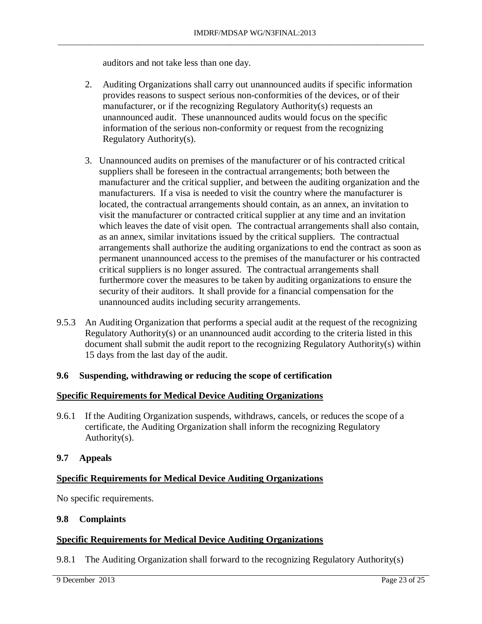auditors and not take less than one day.

- 2. Auditing Organizations shall carry out unannounced audits if specific information provides reasons to suspect serious non-conformities of the devices, or of their manufacturer, or if the recognizing Regulatory Authority(s) requests an unannounced audit. These unannounced audits would focus on the specific information of the serious non-conformity or request from the recognizing Regulatory Authority(s).
- 3. Unannounced audits on premises of the manufacturer or of his contracted critical suppliers shall be foreseen in the contractual arrangements; both between the manufacturer and the critical supplier, and between the auditing organization and the manufacturers. If a visa is needed to visit the country where the manufacturer is located, the contractual arrangements should contain, as an annex, an invitation to visit the manufacturer or contracted critical supplier at any time and an invitation which leaves the date of visit open. The contractual arrangements shall also contain, as an annex, similar invitations issued by the critical suppliers. The contractual arrangements shall authorize the auditing organizations to end the contract as soon as permanent unannounced access to the premises of the manufacturer or his contracted critical suppliers is no longer assured. The contractual arrangements shall furthermore cover the measures to be taken by auditing organizations to ensure the security of their auditors. It shall provide for a financial compensation for the unannounced audits including security arrangements.
- 9.5.3 An Auditing Organization that performs a special audit at the request of the recognizing Regulatory Authority(s) or an unannounced audit according to the criteria listed in this document shall submit the audit report to the recognizing Regulatory Authority(s) within 15 days from the last day of the audit.

## **9.6 Suspending, withdrawing or reducing the scope of certification**

#### **Specific Requirements for Medical Device Auditing Organizations**

9.6.1 If the Auditing Organization suspends, withdraws, cancels, or reduces the scope of a certificate, the Auditing Organization shall inform the recognizing Regulatory Authority(s).

## **9.7 Appeals**

## **Specific Requirements for Medical Device Auditing Organizations**

No specific requirements.

#### **9.8 Complaints**

## **Specific Requirements for Medical Device Auditing Organizations**

9.8.1 The Auditing Organization shall forward to the recognizing Regulatory Authority(s)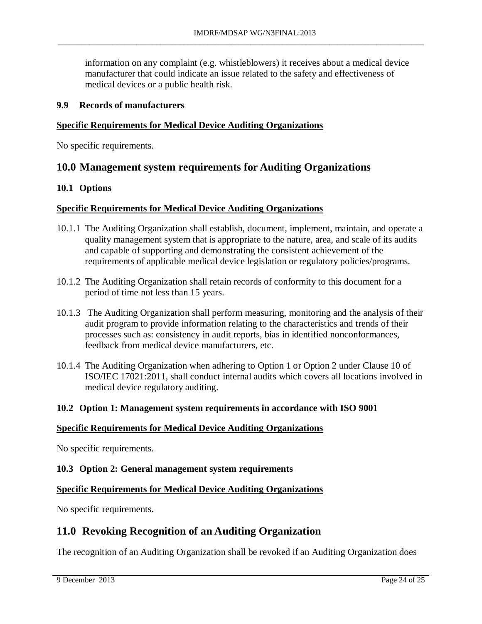information on any complaint (e.g. whistleblowers) it receives about a medical device manufacturer that could indicate an issue related to the safety and effectiveness of medical devices or a public health risk.

\_\_\_\_\_\_\_\_\_\_\_\_\_\_\_\_\_\_\_\_\_\_\_\_\_\_\_\_\_\_\_\_\_\_\_\_\_\_\_\_\_\_\_\_\_\_\_\_\_\_\_\_\_\_\_\_\_\_\_\_\_\_\_\_\_\_\_\_\_\_\_\_\_\_\_\_\_\_\_\_\_\_\_\_\_\_\_\_\_\_\_\_\_

#### **9.9 Records of manufacturers**

### **Specific Requirements for Medical Device Auditing Organizations**

No specific requirements.

## <span id="page-23-0"></span>**10.0 Management system requirements for Auditing Organizations**

#### **10.1 Options**

#### **Specific Requirements for Medical Device Auditing Organizations**

- 10.1.1 The Auditing Organization shall establish, document, implement, maintain, and operate a quality management system that is appropriate to the nature, area, and scale of its audits and capable of supporting and demonstrating the consistent achievement of the requirements of applicable medical device legislation or regulatory policies/programs.
- 10.1.2 The Auditing Organization shall retain records of conformity to this document for a period of time not less than 15 years.
- 10.1.3 The Auditing Organization shall perform measuring, monitoring and the analysis of their audit program to provide information relating to the characteristics and trends of their processes such as: consistency in audit reports, bias in identified nonconformances, feedback from medical device manufacturers, etc.
- 10.1.4 The Auditing Organization when adhering to Option 1 or Option 2 under Clause 10 of ISO/IEC 17021:2011, shall conduct internal audits which covers all locations involved in medical device regulatory auditing.

#### **10.2 Option 1: Management system requirements in accordance with ISO 9001**

#### **Specific Requirements for Medical Device Auditing Organizations**

No specific requirements.

#### **10.3 Option 2: General management system requirements**

#### **Specific Requirements for Medical Device Auditing Organizations**

<span id="page-23-1"></span>No specific requirements.

## **11.0 Revoking Recognition of an Auditing Organization**

The recognition of an Auditing Organization shall be revoked if an Auditing Organization does